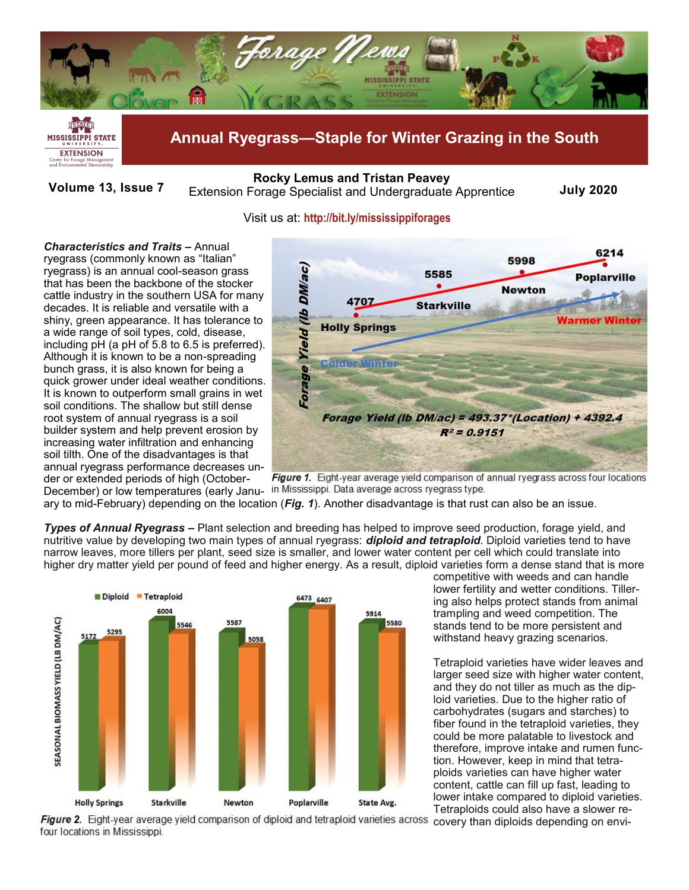



**Annual Ryegrass—Staple for Winter Grazing in the South**

**Volume 13, Issue 7** Extension Forage Specialist and Undergraduate Apprentice **July 2020 [Rocky Lemus](mailto:RLemus@ext.msstate.edu?subject=Forage%20News:%20Janaury%202011) and Tristan Peavey**

## Visit us at: **<http://bit.ly/mississippiforages>**

*Characteristics and Traits –* Annual ryegrass (commonly known as "Italian" ryegrass) is an annual cool-season grass that has been the backbone of the stocker cattle industry in the southern USA for many decades. It is reliable and versatile with a shiny, green appearance. It has tolerance to a wide range of soil types, cold, disease, including pH (a pH of 5.8 to 6.5 is preferred). Although it is known to be a non-spreading bunch grass, it is also known for being a quick grower under ideal weather conditions. It is known to outperform small grains in wet soil conditions. The shallow but still dense root system of annual ryegrass is a soil builder system and help prevent erosion by increasing water infiltration and enhancing soil tilth. One of the disadvantages is that annual ryegrass performance decreases under or extended periods of high (October-



**Figure 1.** Eight-year average yield comparison of annual ryegrass across four locations December) or low temperatures (early Janu- in Mississippi. Data average across ryegrass type.

ary to mid-February) depending on the location (*Fig. 1*). Another disadvantage is that rust can also be an issue.

*Types of Annual Ryegrass –* Plant selection and breeding has helped to improve seed production, forage yield, and nutritive value by developing two main types of annual ryegrass: *diploid and tetraploid*. Diploid varieties tend to have narrow leaves, more tillers per plant, seed size is smaller, and lower water content per cell which could translate into higher dry matter yield per pound of feed and higher energy. As a result, diploid varieties form a dense stand that is more



competitive with weeds and can handle lower fertility and wetter conditions. Tillering also helps protect stands from animal trampling and weed competition. The stands tend to be more persistent and withstand heavy grazing scenarios.

Tetraploid varieties have wider leaves and larger seed size with higher water content, and they do not tiller as much as the diploid varieties. Due to the higher ratio of carbohydrates (sugars and starches) to fiber found in the tetraploid varieties, they could be more palatable to livestock and therefore, improve intake and rumen function. However, keep in mind that tetraploids varieties can have higher water content, cattle can fill up fast, leading to lower intake compared to diploid varieties. Tetraploids could also have a slower re-

Figure 2. Eight-year average yield comparison of diploid and tetraploid varieties across four locations in Mississippi.

covery than diploids depending on envi-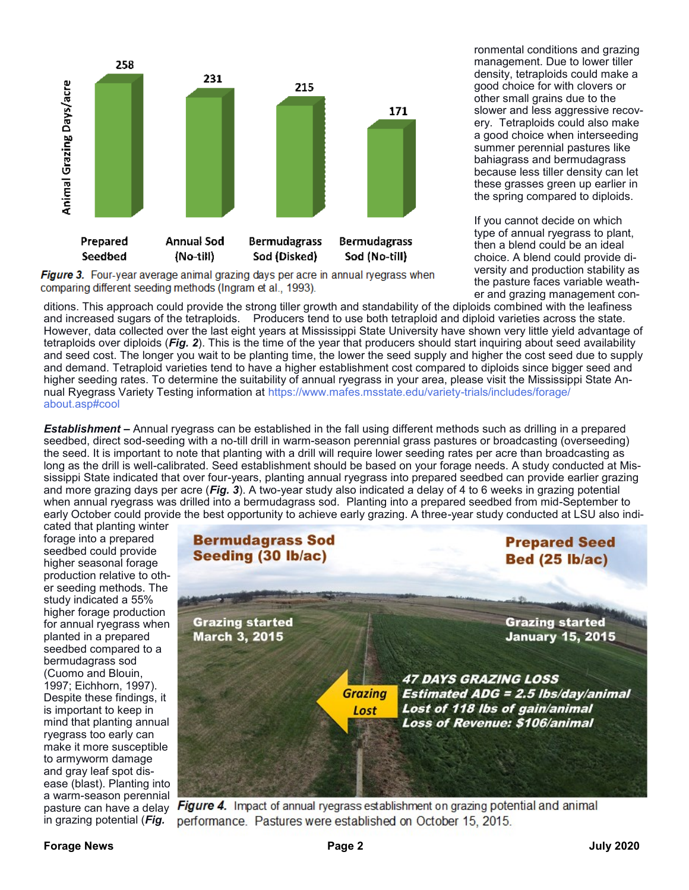

**Figure 3.** Four-year average animal grazing days per acre in annual ryegrass when comparing different seeding methods (Ingram et al., 1993).

ronmental conditions and grazing management. Due to lower tiller density, tetraploids could make a good choice for with clovers or other small grains due to the slower and less aggressive recovery. Tetraploids could also make a good choice when interseeding summer perennial pastures like bahiagrass and bermudagrass because less tiller density can let these grasses green up earlier in the spring compared to diploids.

If you cannot decide on which type of annual ryegrass to plant, then a blend could be an ideal choice. A blend could provide diversity and production stability as the pasture faces variable weather and grazing management con-

ditions. This approach could provide the strong tiller growth and standability of the diploids combined with the leafiness and increased sugars of the tetraploids. Producers tend to use both tetraploid and diploid varieties across the state. However, data collected over the last eight years at Mississippi State University have shown very little yield advantage of tetraploids over diploids (*Fig. 2*). This is the time of the year that producers should start inquiring about seed availability and seed cost. The longer you wait to be planting time, the lower the seed supply and higher the cost seed due to supply and demand. Tetraploid varieties tend to have a higher establishment cost compared to diploids since bigger seed and higher seeding rates. To determine the suitability of annual ryegrass in your area, please visit the Mississippi State Annual Ryegrass Variety Testing information at [https://www.mafes.msstate.edu/variety](https://www.mafes.msstate.edu/variety-trials/includes/forage/about.asp#cool)-trials/includes/forage/ [about.asp#cool](https://www.mafes.msstate.edu/variety-trials/includes/forage/about.asp#cool)

*Establishment* **–** Annual ryegrass can be established in the fall using different methods such as drilling in a prepared seedbed, direct sod-seeding with a no-till drill in warm-season perennial grass pastures or broadcasting (overseeding) the seed. It is important to note that planting with a drill will require lower seeding rates per acre than broadcasting as long as the drill is well-calibrated. Seed establishment should be based on your forage needs. A study conducted at Mississippi State indicated that over four-years, planting annual ryegrass into prepared seedbed can provide earlier grazing and more grazing days per acre (*Fig. 3*). A two-year study also indicated a delay of 4 to 6 weeks in grazing potential when annual ryegrass was drilled into a bermudagrass sod. Planting into a prepared seedbed from mid-September to early October could provide the best opportunity to achieve early grazing. A three-year study conducted at LSU also indi-

cated that planting winter forage into a prepared seedbed could provide higher seasonal forage production relative to other seeding methods. The study indicated a 55% higher forage production for annual ryegrass when planted in a prepared seedbed compared to a bermudagrass sod (Cuomo and Blouin, 1997; Eichhorn, 1997). Despite these findings, it is important to keep in mind that planting annual ryegrass too early can make it more susceptible to armyworm damage and gray leaf spot disease (blast). Planting into a warm-season perennial pasture can have a delay in grazing potential (*Fig.* 



**Figure 4.** Impact of annual ryegrass establishment on grazing potential and animal performance. Pastures were established on October 15, 2015.